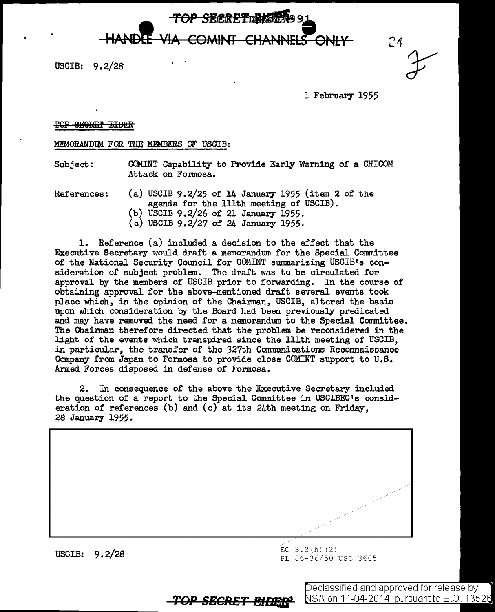TOP SRCRETDWAT P91 HANDLE VIA COMINT CHANNELS ONLY

USCIB: 9.2/28

•

 $24$ 

l February 1955

## TOP SECRET EIDER

## MEMORANDtM FOR THE MEMBERS OF USCIB:

Subject: COMINT Capability to Provide Early Warning of a CHICOM Attack on Formosa.

References: (a) USCIB 9.2/25 of 14 January 1955 (item 2 of the agenda for the lllth meeting of USCIB). (b) USCIB 9.2/26 of 21 January 1955.

(c) USCIB 9.2/27 of 24 January 1955.

1. Reference (a) included a decision to the effect that the Executive Secretary would draft a memorandum for the Special Committee of the National Security Council for COMINT summarizing USCIB's consideration of subject problem. The draft was to be circulated for approval by the members of USCIB prior to forwarding. In the course of obtaining approv2l for the above-mentioned draft several events took place which, in the opinion of the Chairman, USCIB, altered the basis upon which consideration by the Board had been previously predicated and may have removed the need for a memorandum to the Special Committee. The Chairman therefore directed that the problem be reconsidered in the light of the events which transpired since the lllth meeting of USCIB, in particular, the transfer of the 327th Communications Reconnaissance Company from Japan to Formosa to provide close COMINT support to U.S. Armed Forces disposed in defense of Formosa.

2. In consequence of the above the Executive Secretary included the question of a report to the Special Committee in USCIBEC's consideration of references (b) and (c) at its 24th meeting on Friday, 28 January 1955.



**TOP SECRET** *E#DE4l'* 

PL 86-36/50 USC 3605

Declassified and approved for release by: <u>NSA on 11-04-2014 pursuant to E.O. 13526</u>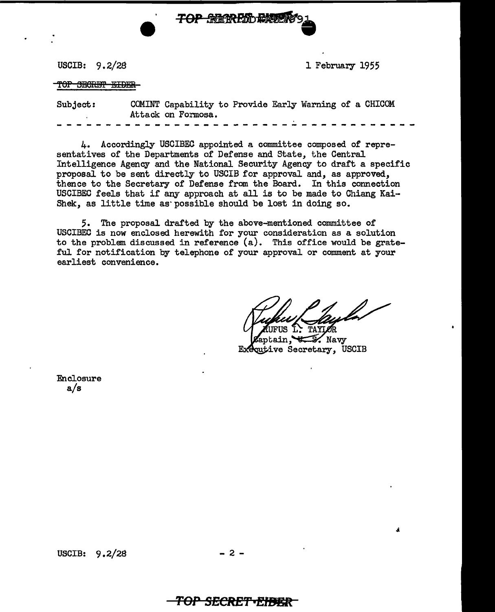USCIB: 9.2/28

1 February 1955

TOP SECRET EIDER

| Subject: |  |  |  |  |  |  |  |                    |  |  |  | COMINT Capability to Provide Early Warning of a CHICOM |  |  |  |  |  |  |  |
|----------|--|--|--|--|--|--|--|--------------------|--|--|--|--------------------------------------------------------|--|--|--|--|--|--|--|
|          |  |  |  |  |  |  |  | Attack on Formosa. |  |  |  |                                                        |  |  |  |  |  |  |  |
|          |  |  |  |  |  |  |  |                    |  |  |  |                                                        |  |  |  |  |  |  |  |

**TOP REFRESHERS** 

4. Accordingly USCIBEC appointed a committee composed of representatives of the Departments of Defense and State, the Central Intelligence Agency and the National Security Agency to draft a specific proposal to be sent directly to USCIB for approval and, as approved, thence to the Secretary of Defense from the Board. In this connection USCIBEC feels that if any approach at all is to be made to Chiang Kai-Shek, as little time as· possible should be lost in doing so.

5. The proposal drafted by the above-mentioned committee of USCIBEC is now enclosed herewith for your consideration as a solution to the problem discussed in reference (a). This office would be grateful for notification by telephone of your approval or comment at your earliest convenience.

ś

aptain,  $\sqrt{s}$ . Navy Executive Secretary, USCIB

Enclosure a/s

**TOP SECRET•EIÐBR**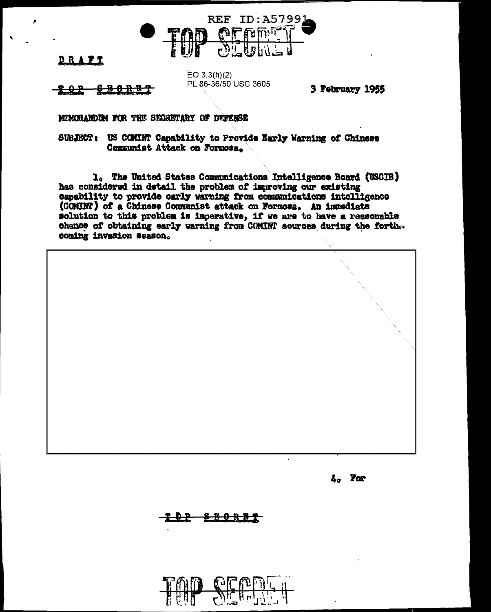

<u>DRAFT</u>

8 B O R B T <del>202</del>

 $EO 3.3(h)(2)$ PL 86-36/50 USC 3605

3 February 1955

MEMORANDUM FOR THE SECRETARY OF DEFENSE

SUBJECT: US COMINT Capability to Provide Early Warning of Chinese Communist Attack on Formosa.

1. The United States Communications Intelligence Board (USCIB) has considered in detail the problem of improving our existing capability to provide early warning from communications intelligence (COMINT) of a Chinese Communist attack on Formosa. An immediate solution to this problem is imperative, if we are to have a reasonable chance of obtaining early warning from COMINT sources during the forthcoming invasion season.

L<sub>o</sub> For

8 B O R B T

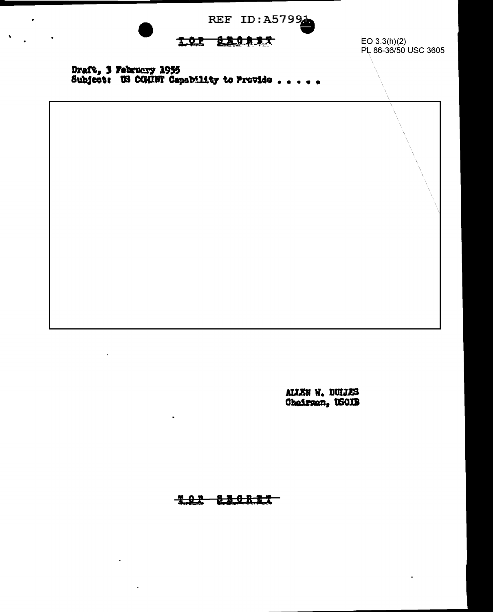REF ID: A57994

## Les szensz

 $E$ O 3.3(h)(2) PL 86-36/50 USC 3605

Draft, 3 February 1955<br>Subject: US CG(INT Gepsbility to Provide . . . . .

 $\cdot$ 

 $\hat{\mathbf{v}}$ 

ALIEN W. DULLES<br>Chairman, USOIB

**TOP SECRET**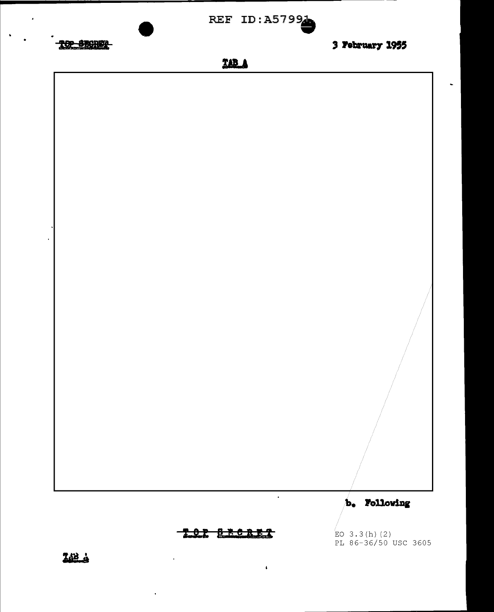

TOR BROADS

 $\pmb{\ast}$ 

 $EO$  3.3(h)(2) PL 86-36/50 USC 3605

 $\bullet$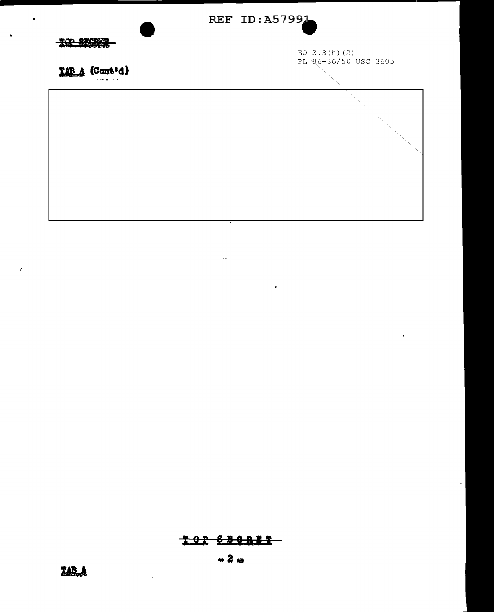

 $\mathcal{L}_{\mathbf{r}}$ 

 $\hat{\phantom{a}}$ 

## TOR SECRET

 $-2a$ 

 $\ddot{\phantom{a}}$ 

 $\ddot{\bullet}$ 

 $\boldsymbol{\lambda}$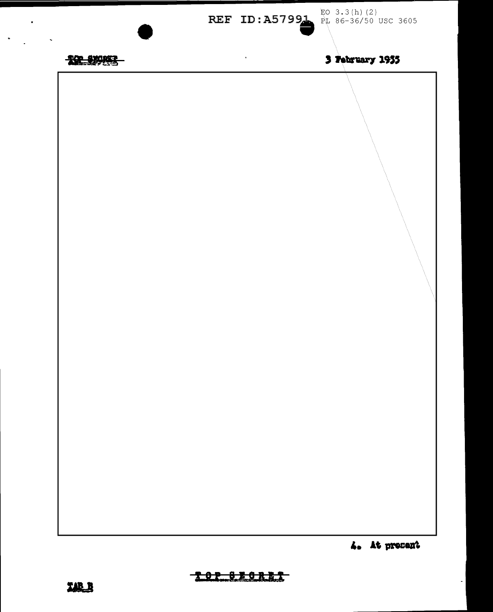

 $\sim$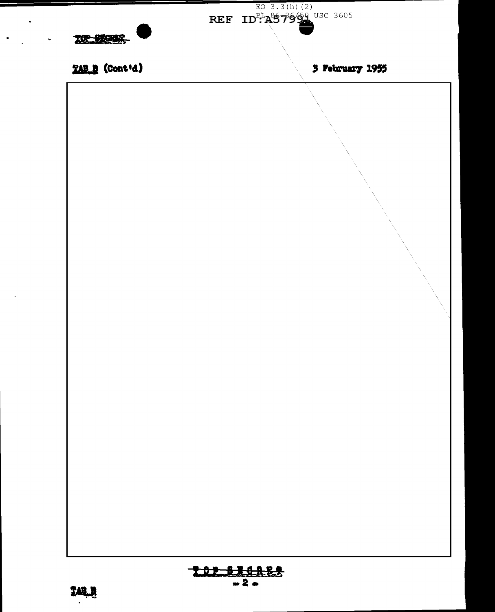

 $\ddot{\phantom{1}}$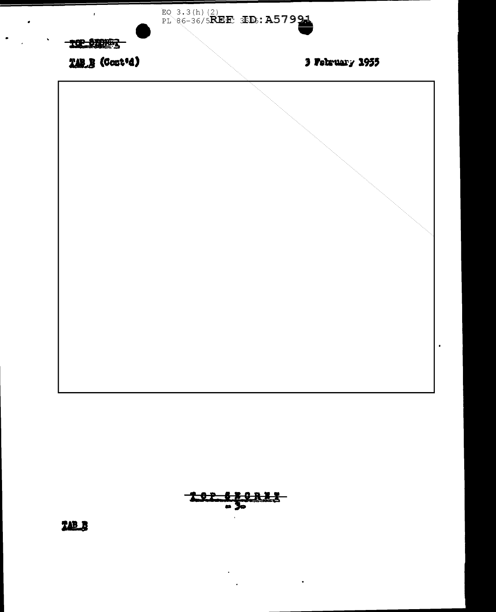



TAB\_B